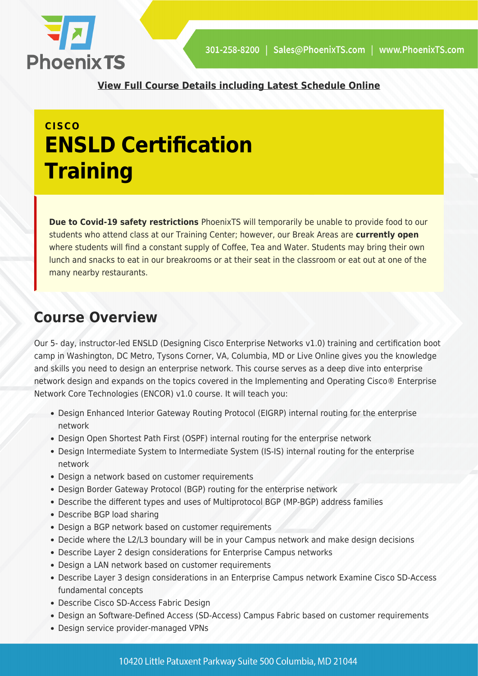

**[View Full Course Details including Latest Schedule Online](https://phoenixts.com/training-courses/designing-cisco-enterprise-networks-ensld-certification-training/)**

# **CISCO ENSLD Certification Training**

**Due to Covid-19 safety restrictions** PhoenixTS will temporarily be unable to provide food to our students who attend class at our Training Center; however, our Break Areas are **currently open** where students will find a constant supply of Coffee, Tea and Water. Students may bring their own lunch and snacks to eat in our breakrooms or at their seat in the classroom or eat out at one of the many nearby restaurants.

# **Course Overview**

Our 5- day, instructor-led ENSLD (Designing Cisco Enterprise Networks v1.0) training and certification boot camp in Washington, DC Metro, Tysons Corner, VA, Columbia, MD or Live Online gives you the knowledge and skills you need to design an enterprise network. This course serves as a deep dive into enterprise network design and expands on the topics covered in the Implementing and Operating Cisco® Enterprise Network Core Technologies (ENCOR) v1.0 course. It will teach you:

- Design Enhanced Interior Gateway Routing Protocol (EIGRP) internal routing for the enterprise network
- Design Open Shortest Path First (OSPF) internal routing for the enterprise network
- Design Intermediate System to Intermediate System (IS-IS) internal routing for the enterprise network
- Design a network based on customer requirements
- Design Border Gateway Protocol (BGP) routing for the enterprise network
- Describe the different types and uses of Multiprotocol BGP (MP-BGP) address families
- Describe BGP load sharing
- Design a BGP network based on customer requirements
- Decide where the L2/L3 boundary will be in your Campus network and make design decisions
- Describe Layer 2 design considerations for Enterprise Campus networks
- Design a LAN network based on customer requirements
- Describe Layer 3 design considerations in an Enterprise Campus network Examine Cisco SD-Access fundamental concepts
- Describe Cisco SD-Access Fabric Design
- Design an Software-Defined Access (SD-Access) Campus Fabric based on customer requirements
- Design service provider-managed VPNs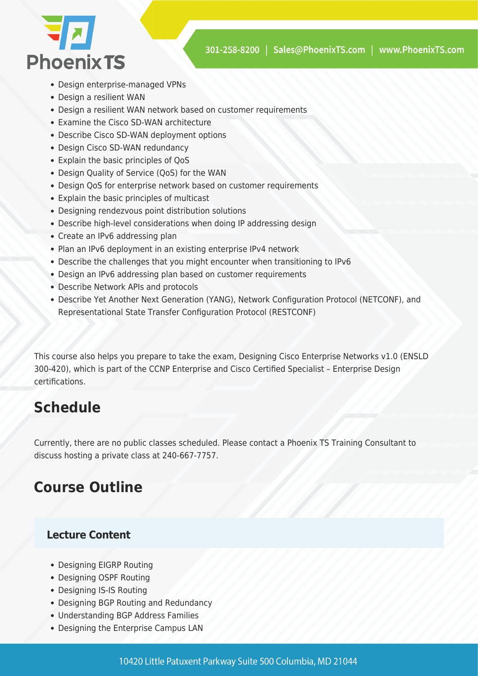

- Design enterprise-managed VPNs
- Design a resilient WAN
- Design a resilient WAN network based on customer requirements
- Examine the Cisco SD-WAN architecture
- Describe Cisco SD-WAN deployment options
- Design Cisco SD-WAN redundancy
- Explain the basic principles of QoS
- Design Quality of Service (QoS) for the WAN
- Design QoS for enterprise network based on customer requirements
- Explain the basic principles of multicast
- Designing rendezvous point distribution solutions
- Describe high-level considerations when doing IP addressing design
- Create an IPv6 addressing plan
- Plan an IPv6 deployment in an existing enterprise IPv4 network
- Describe the challenges that you might encounter when transitioning to IPv6
- Design an IPv6 addressing plan based on customer requirements
- Describe Network APIs and protocols
- Describe Yet Another Next Generation (YANG), Network Configuration Protocol (NETCONF), and Representational State Transfer Configuration Protocol (RESTCONF)

This course also helps you prepare to take the exam, Designing Cisco Enterprise Networks v1.0 (ENSLD 300-420), which is part of the CCNP Enterprise and Cisco Certified Specialist – Enterprise Design certifications.

## **Schedule**

Currently, there are no public classes scheduled. Please contact a Phoenix TS Training Consultant to discuss hosting a private class at 240-667-7757.

### **Course Outline**

#### **Lecture Content**

- Designing EIGRP Routing
- Designing OSPF Routing
- Designing IS-IS Routing
- Designing BGP Routing and Redundancy
- Understanding BGP Address Families
- Designing the Enterprise Campus LAN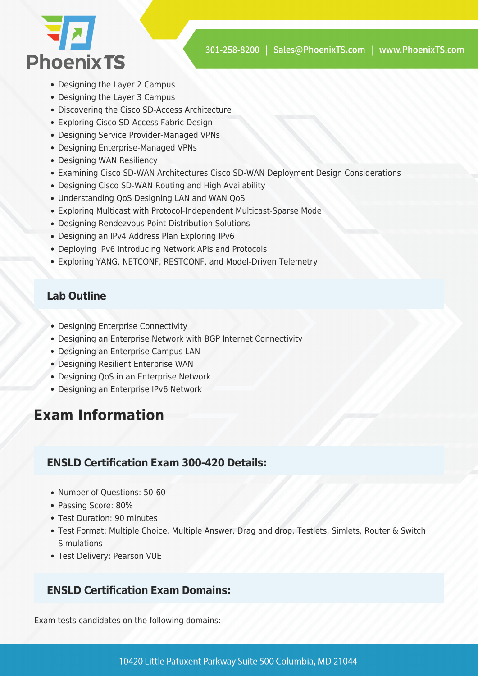

- Designing the Layer 2 Campus
- Designing the Layer 3 Campus
- Discovering the Cisco SD-Access Architecture
- Exploring Cisco SD-Access Fabric Design
- Designing Service Provider-Managed VPNs
- Designing Enterprise-Managed VPNs
- Designing WAN Resiliency
- Examining Cisco SD-WAN Architectures Cisco SD-WAN Deployment Design Considerations
- Designing Cisco SD-WAN Routing and High Availability
- Understanding QoS Designing LAN and WAN QoS
- Exploring Multicast with Protocol-Independent Multicast-Sparse Mode
- Designing Rendezvous Point Distribution Solutions
- Designing an IPv4 Address Plan Exploring IPv6
- Deploying IPv6 Introducing Network APIs and Protocols
- Exploring YANG, NETCONF, RESTCONF, and Model-Driven Telemetry

### **Lab Outline**

- Designing Enterprise Connectivity
- Designing an Enterprise Network with BGP Internet Connectivity
- Designing an Enterprise Campus LAN
- Designing Resilient Enterprise WAN
- Designing QoS in an Enterprise Network
- Designing an Enterprise IPv6 Network

## **Exam Information**

### **ENSLD Certification Exam 300-420 Details:**

- Number of Ouestions: 50-60
- Passing Score: 80%
- Test Duration: 90 minutes
- Test Format: Multiple Choice, Multiple Answer, Drag and drop, Testlets, Simlets, Router & Switch **Simulations**
- Test Delivery: Pearson VUE

#### **ENSLD Certification Exam Domains:**

Exam tests candidates on the following domains: